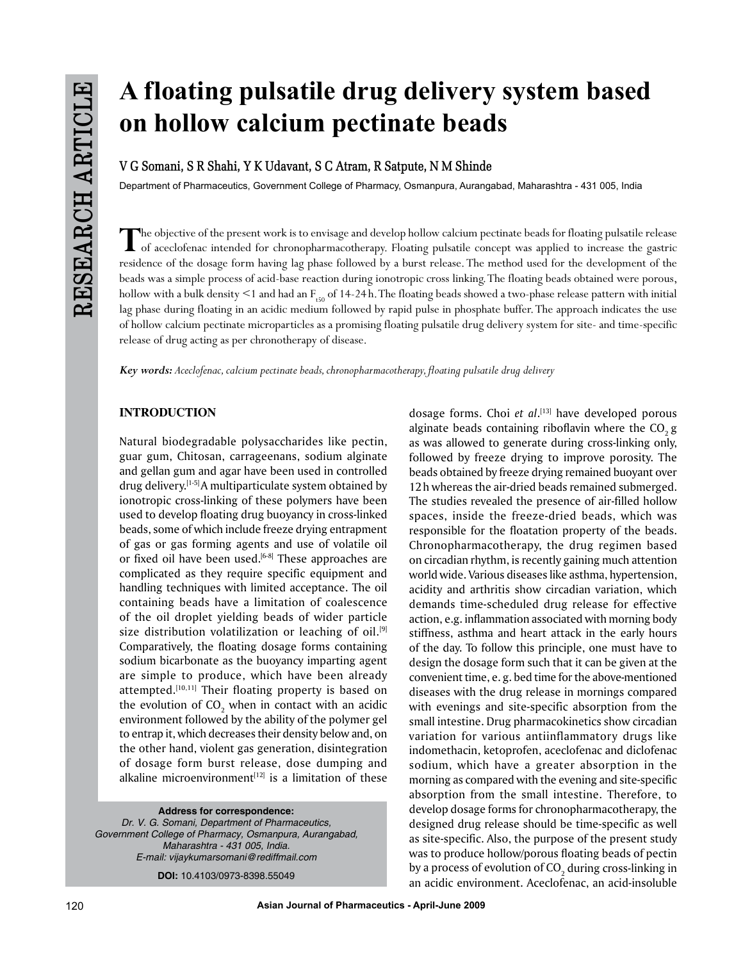# **A floating pulsatile drug delivery system based on hollow calcium pectinate beads**

**V G Somani, S R Shahi, Y K Udavant, S C Atram, R Satpute, N M Shinde**

Department of Pharmaceutics, Government College of Pharmacy, Osmanpura, Aurangabad, Maharashtra - 431 005, India

The objective of the present work is to envisage and develop hollow calcium pectinate beads for floating pulsatile release<br>of aceclofenac intended for chronopharmacotherapy. Floating pulsatile concept was applied to increa residence of the dosage form having lag phase followed by a burst release. The method used for the development of the beads was a simple process of acid-base reaction during ionotropic cross linking. The floating beads obtained were porous, hollow with a bulk density  $\leq 1$  and had an  $F_{f50}$  of 14-24 h. The floating beads showed a two-phase release pattern with initial lag phase during floating in an acidic medium followed by rapid pulse in phosphate buffer. The approach indicates the use of hollow calcium pectinate microparticles as a promising floating pulsatile drug delivery system for site- and time-specific release of drug acting as per chronotherapy of disease.

*Key words: Aceclofenac, calcium pectinate beads, chronopharmacotherapy, floating pulsatile drug delivery*

# **INTRODUCTION**

Natural biodegradable polysaccharides like pectin, guar gum, Chitosan, carrageenans, sodium alginate and gellan gum and agar have been used in controlled drug delivery.[1-5] A multiparticulate system obtained by ionotropic cross-linking of these polymers have been used to develop floating drug buoyancy in cross-linked beads, some of which include freeze drying entrapment of gas or gas forming agents and use of volatile oil or fixed oil have been used.<sup>[6-8]</sup> These approaches are complicated as they require specific equipment and handling techniques with limited acceptance. The oil containing beads have a limitation of coalescence of the oil droplet yielding beads of wider particle size distribution volatilization or leaching of oil.<sup>[9]</sup> Comparatively, the floating dosage forms containing sodium bicarbonate as the buoyancy imparting agent are simple to produce, which have been already attempted.<sup>[10,11]</sup> Their floating property is based on the evolution of CO $_2$  when in contact with an acidic environment followed by the ability of the polymer gel to entrap it, which decreases their density below and, on the other hand, violent gas generation, disintegration of dosage form burst release, dose dumping and alkaline microenvironment $[12]$  is a limitation of these

**Address for correspondence:** *Dr. V. G. Somani, Department of Pharmaceutics, Government College of Pharmacy, Osmanpura, Aurangabad, Maharashtra - 431 005, India. E-mail: vijaykumarsomani@rediffmail.com*

**DOI:** 10.4103/0973-8398.55049

dosage forms. Choi *et al*. [13] have developed porous alginate beads containing riboflavin where the  $CO<sub>2</sub>$  g as was allowed to generate during cross-linking only, followed by freeze drying to improve porosity. The beads obtained by freeze drying remained buoyant over 12h whereas the air-dried beads remained submerged. The studies revealed the presence of air-filled hollow spaces, inside the freeze-dried beads, which was responsible for the floatation property of the beads. Chronopharmacotherapy, the drug regimen based on circadian rhythm, is recently gaining much attention world wide. Various diseases like asthma, hypertension, acidity and arthritis show circadian variation, which demands time-scheduled drug release for effective action, e.g. inflammation associated with morning body stiffness, asthma and heart attack in the early hours of the day. To follow this principle, one must have to design the dosage form such that it can be given at the convenient time, e. g. bed time for the above-mentioned diseases with the drug release in mornings compared with evenings and site-specific absorption from the small intestine. Drug pharmacokinetics show circadian variation for various antiinflammatory drugs like indomethacin, ketoprofen, aceclofenac and diclofenac sodium, which have a greater absorption in the morning as compared with the evening and site-specific absorption from the small intestine. Therefore, to develop dosage forms for chronopharmacotherapy, the designed drug release should be time-specific as well as site-specific. Also, the purpose of the present study was to produce hollow/porous floating beads of pectin by a process of evolution of CO $_{\rm 2}$  during cross-linking in an acidic environment. Aceclofenac, an acid-insoluble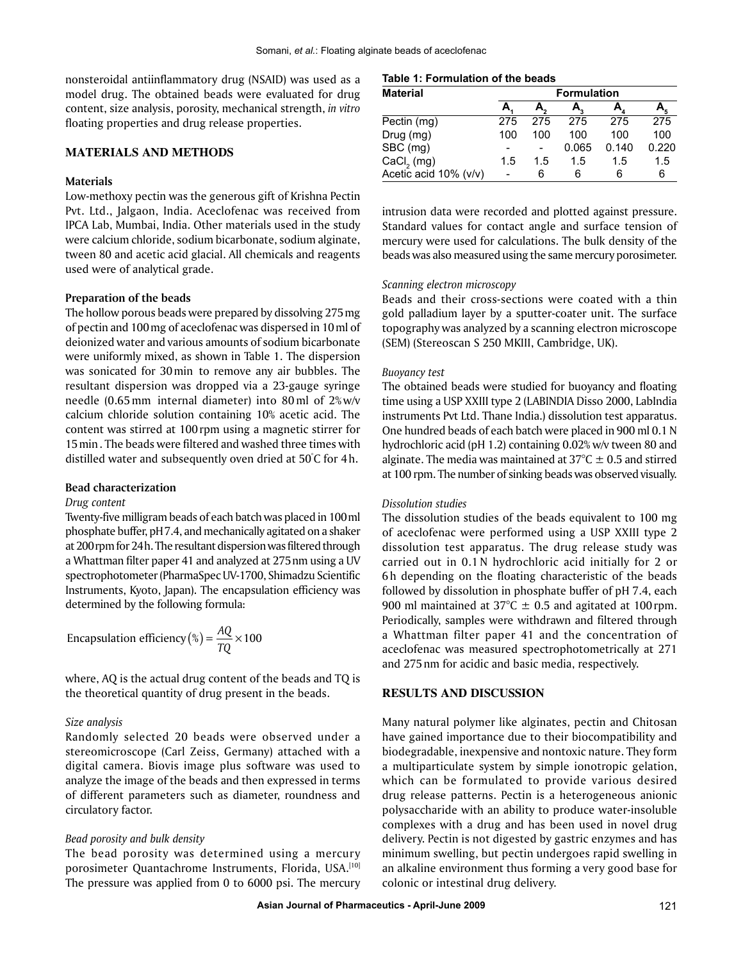nonsteroidal antiinflammatory drug (NSAID) was used as a model drug. The obtained beads were evaluated for drug content, size analysis, porosity, mechanical strength, *in vitro* floating properties and drug release properties.

# **MATERIALS AND METHODS**

## **Materials**

Low-methoxy pectin was the generous gift of Krishna Pectin Pvt. Ltd., Jalgaon, India. Aceclofenac was received from IPCA Lab, Mumbai, India. Other materials used in the study were calcium chloride, sodium bicarbonate, sodium alginate, tween 80 and acetic acid glacial. All chemicals and reagents used were of analytical grade.

## **Preparation of the beads**

The hollow porous beads were prepared by dissolving 275mg of pectin and 100mg of aceclofenac was dispersed in 10ml of deionized water and various amounts of sodium bicarbonate were uniformly mixed, as shown in Table 1. The dispersion was sonicated for 30min to remove any air bubbles. The resultant dispersion was dropped via a 23-gauge syringe needle (0.65mm internal diameter) into 80ml of 2% w/v calcium chloride solution containing 10% acetic acid. The content was stirred at 100rpm using a magnetic stirrer for 15min. The beads were filtered and washed three times with distilled water and subsequently oven dried at 50° C for 4h.

## **Bead characterization**

### *Drug content*

Twenty-five milligram beads of each batch was placed in 100ml phosphate buffer, pH7.4, and mechanically agitated on a shaker at 200rpm for 24h. The resultant dispersion was filtered through a Whattman filter paper 41 and analyzed at 275nm using a UV spectrophotometer (PharmaSpec UV-1700, Shimadzu Scientific Instruments, Kyoto, Japan). The encapsulation efficiency was determined by the following formula:

Encapsulation efficiency (%) =  $\frac{AQ}{TQ}$  [] 100

where, AQ is the actual drug content of the beads and TQ is the theoretical quantity of drug present in the beads.

## *Size analysis*

Randomly selected 20 beads were observed under a stereomicroscope (Carl Zeiss, Germany) attached with a digital camera. Biovis image plus software was used to analyze the image of the beads and then expressed in terms of different parameters such as diameter, roundness and circulatory factor.

#### *Bead porosity and bulk density*

The bead porosity was determined using a mercury porosimeter Quantachrome Instruments, Florida, USA.[10] The pressure was applied from 0 to 6000 psi. The mercury

## **Table 1: Formulation of the beads**

| <b>Material</b>        | <b>Formulation</b> |     |       |                            |       |  |
|------------------------|--------------------|-----|-------|----------------------------|-------|--|
|                        |                    |     |       | $A_{\scriptscriptstyle A}$ |       |  |
| Pectin (mg)            | 275                | 275 | 275   | 275                        | 275   |  |
| Drug (mg)              | 100                | 100 | 100   | 100                        | 100   |  |
| SBC (mg)               |                    |     | 0.065 | 0.140                      | 0.220 |  |
| CaCl <sub>2</sub> (mg) | 1.5                | 1.5 | 1.5   | 1.5                        | 1.5   |  |
| Acetic acid 10% (v/v)  |                    | 6   | 6     | 6                          | 6     |  |

intrusion data were recorded and plotted against pressure. Standard values for contact angle and surface tension of mercury were used for calculations. The bulk density of the beads was also measured using the same mercury porosimeter.

#### *Scanning electron microscopy*

Beads and their cross-sections were coated with a thin gold palladium layer by a sputter-coater unit. The surface topography was analyzed by a scanning electron microscope (SEM) (Stereoscan S 250 MKIII, Cambridge, UK).

#### *Buoyancy test*

The obtained beads were studied for buoyancy and floating time using a USP XXIII type 2 (LABINDIA Disso 2000, LabIndia instruments Pvt Ltd. Thane India.) dissolution test apparatus. One hundred beads of each batch were placed in 900 ml 0.1 N hydrochloric acid (pH 1.2) containing 0.02% w/v tween 80 and alginate. The media was maintained at  $37^{\circ}$ C  $\pm$  0.5 and stirred at 100 rpm. The number of sinking beads was observed visually.

# *Dissolution studies*

The dissolution studies of the beads equivalent to 100 mg of aceclofenac were performed using a USP XXIII type 2 dissolution test apparatus. The drug release study was carried out in 0.1 N hydrochloric acid initially for 2 or 6h depending on the floating characteristic of the beads followed by dissolution in phosphate buffer of pH 7.4, each 900 ml maintained at 37°C *±* 0.5 and agitated at 100rpm. Periodically, samples were withdrawn and filtered through a Whattman filter paper 41 and the concentration of aceclofenac was measured spectrophotometrically at 271 and 275nm for acidic and basic media, respectively.

# **RESULTS AND DISCUSSION**

Many natural polymer like alginates, pectin and Chitosan have gained importance due to their biocompatibility and biodegradable, inexpensive and nontoxic nature. They form a multiparticulate system by simple ionotropic gelation, which can be formulated to provide various desired drug release patterns. Pectin is a heterogeneous anionic polysaccharide with an ability to produce water-insoluble complexes with a drug and has been used in novel drug delivery. Pectin is not digested by gastric enzymes and has minimum swelling, but pectin undergoes rapid swelling in an alkaline environment thus forming a very good base for colonic or intestinal drug delivery.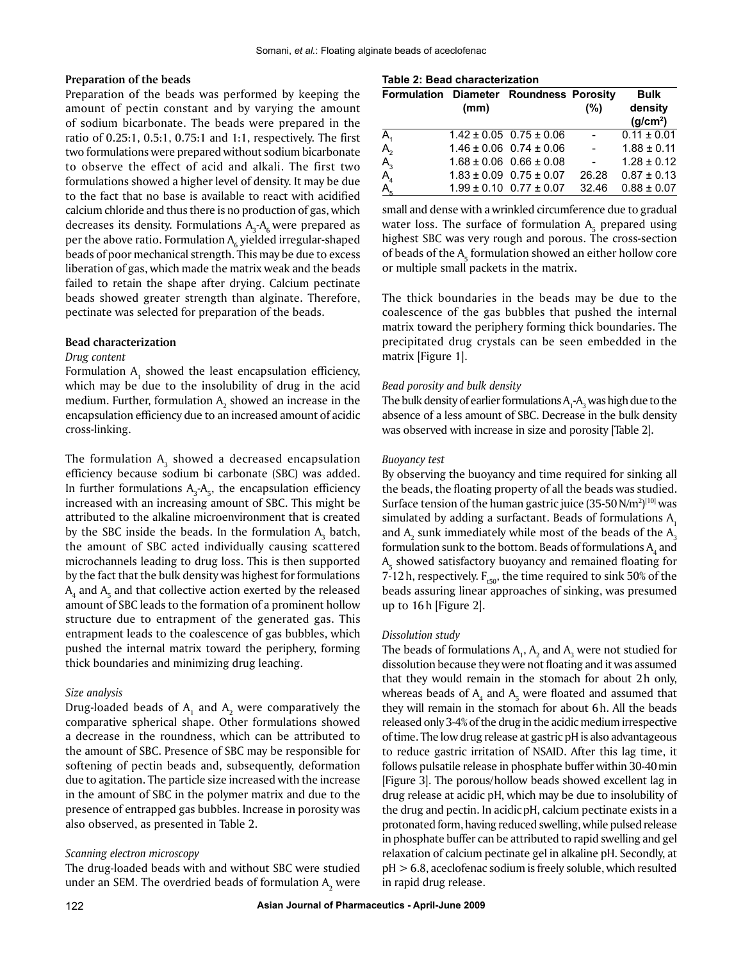## **Preparation of the beads**

Preparation of the beads was performed by keeping the amount of pectin constant and by varying the amount of sodium bicarbonate. The beads were prepared in the ratio of 0.25:1, 0.5:1, 0.75:1 and 1:1, respectively. The first two formulations were prepared without sodium bicarbonate to observe the effect of acid and alkali. The first two formulations showed a higher level of density. It may be due to the fact that no base is available to react with acidified calcium chloride and thus there is no production of gas, which decreases its density. Formulations  $A_3$ - $A_6$  were prepared as per the above ratio. Formulation  $\mathsf{A}_6$  yielded irregular-shaped beads of poor mechanical strength. This may be due to excess liberation of gas, which made the matrix weak and the beads failed to retain the shape after drying. Calcium pectinate beads showed greater strength than alginate. Therefore, pectinate was selected for preparation of the beads.

## **Bead characterization**

## *Drug content*

Formulation  $A_1$  showed the least encapsulation efficiency, which may be due to the insolubility of drug in the acid medium. Further, formulation  $A_2$  showed an increase in the encapsulation efficiency due to an increased amount of acidic cross-linking.

The formulation  $\mathsf{A}_\mathfrak{z}$  showed a decreased encapsulation efficiency because sodium bi carbonate (SBC) was added. In further formulations  $A_3$ - $A_5$ , the encapsulation efficiency increased with an increasing amount of SBC. This might be attributed to the alkaline microenvironment that is created by the SBC inside the beads. In the formulation  $A_3$  batch, the amount of SBC acted individually causing scattered microchannels leading to drug loss. This is then supported by the fact that the bulk density was highest for formulations  $\mathsf{A}_\mathtt{4}$  and  $\mathsf{A}_\mathtt{5}$  and that collective action exerted by the released amount of SBC leads to the formation of a prominent hollow structure due to entrapment of the generated gas. This entrapment leads to the coalescence of gas bubbles, which pushed the internal matrix toward the periphery, forming thick boundaries and minimizing drug leaching.

# *Size analysis*

Drug-loaded beads of  $A_1$  and  $A_2$  were comparatively the comparative spherical shape. Other formulations showed a decrease in the roundness, which can be attributed to the amount of SBC. Presence of SBC may be responsible for softening of pectin beads and, subsequently, deformation due to agitation. The particle size increased with the increase in the amount of SBC in the polymer matrix and due to the presence of entrapped gas bubbles. Increase in porosity was also observed, as presented in Table 2.

# *Scanning electron microscopy*

The drug-loaded beads with and without SBC were studied under an SEM. The overdried beads of formulation  $\mathsf{A}_\mathfrak{z}$  were

#### **Table 2: Bead characterization**

| Formulation Diameter Roundness Porosity |      |                                 |                 | <b>Bulk</b>                     |
|-----------------------------------------|------|---------------------------------|-----------------|---------------------------------|
|                                         | (mm) |                                 | (%)             | density<br>(g/cm <sup>2</sup> ) |
| A <sub>1</sub>                          |      | $1.42 \pm 0.05$ 0.75 $\pm$ 0.06 | $\sim$ $-$      | $0.11 \pm 0.01$                 |
| $A_2^{\prime}$                          |      | $1.46 \pm 0.06$ 0.74 $\pm$ 0.06 | $\sim 10^{-11}$ | $1.88 \pm 0.11$                 |
|                                         |      | $1.68 \pm 0.06$ 0.66 $\pm$ 0.08 | $\sim 10^{-11}$ | $1.28 \pm 0.12$                 |
| $A_3$ <sub>4</sub>                      |      | $1.83 \pm 0.09$ 0.75 $\pm$ 0.07 | 26.28           | $0.87 \pm 0.13$                 |
| A <sub>5</sub>                          |      | $1.99 \pm 0.10$ 0.77 $\pm$ 0.07 | 32.46           | $0.88 \pm 0.07$                 |

small and dense with a wrinkled circumference due to gradual water loss. The surface of formulation  $A_5$  prepared using highest SBC was very rough and porous. The cross-section of beads of the  $A_5$  formulation showed an either hollow core or multiple small packets in the matrix.

The thick boundaries in the beads may be due to the coalescence of the gas bubbles that pushed the internal matrix toward the periphery forming thick boundaries. The precipitated drug crystals can be seen embedded in the matrix [Figure 1].

# *Bead porosity and bulk density*

The bulk density of earlier formulations  $\mathsf{A_i\text{-}A_j}$  was high due to the absence of a less amount of SBC. Decrease in the bulk density was observed with increase in size and porosity [Table 2].

# *Buoyancy test*

By observing the buoyancy and time required for sinking all the beads, the floating property of all the beads was studied. Surface tension of the human gastric juice (35-50  $N/m^2$ )<sup>[10]</sup> was simulated by adding a surfactant. Beads of formulations  $A_1$ and  $\mathsf{A}_\mathsf{2}$  sunk immediately while most of the beads of the  $\mathsf{A}_\mathsf{3}$ formulation sunk to the bottom. Beads of formulations  $\mathsf{A}_4$  and  $\mathsf{A}_5^{}$  showed satisfactory buoyancy and remained floating for 7-12h, respectively.  $F_{t50}$ , the time required to sink 50% of the beads assuring linear approaches of sinking, was presumed up to 16h [Figure 2].

#### *Dissolution study*

The beads of formulations  $A_1$ ,  $A_2$  and  $A_3$  were not studied for dissolution because they were not floating and it was assumed that they would remain in the stomach for about 2h only, whereas beads of  $A_4$  and  $A_5$  were floated and assumed that they will remain in the stomach for about 6h. All the beads released only 3-4% of the drug in the acidic medium irrespective of time. The low drug release at gastric pH is also advantageous to reduce gastric irritation of NSAID. After this lag time, it follows pulsatile release in phosphate buffer within 30-40min [Figure 3]. The porous/hollow beads showed excellent lag in drug release at acidic pH, which may be due to insolubility of the drug and pectin. In acidicpH, calcium pectinate exists in a protonated form, having reduced swelling, while pulsed release in phosphate buffer can be attributed to rapid swelling and gel relaxation of calcium pectinate gel in alkaline pH. Secondly, at pH > 6.8, aceclofenac sodium is freely soluble, which resulted in rapid drug release.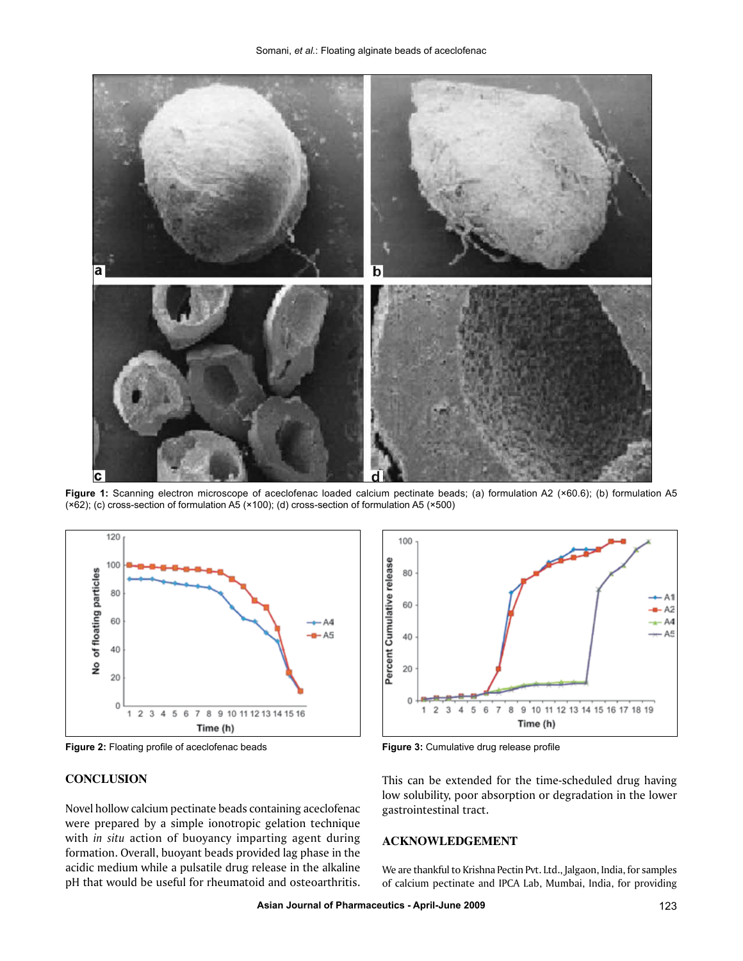

**Figure 1:** Scanning electron microscope of aceclofenac loaded calcium pectinate beads; (a) formulation A2 (×60.6); (b) formulation A5 (×62); (c) cross-section of formulation A5 (×100); (d) cross-section of formulation A5 (×500)



**Figure 2:** Floating profile of aceclofenac beads **Figure 3:** Cumulative drug release profile

# **CONCLUSION**

Novel hollow calcium pectinate beads containing aceclofenac were prepared by a simple ionotropic gelation technique with *in situ* action of buoyancy imparting agent during formation. Overall, buoyant beads provided lag phase in the acidic medium while a pulsatile drug release in the alkaline pH that would be useful for rheumatoid and osteoarthritis.



This can be extended for the time-scheduled drug having low solubility, poor absorption or degradation in the lower gastrointestinal tract.

# **ACKNOWLEDGeMENT**

We are thankful to Krishna Pectin Pvt. Ltd., Jalgaon, India, for samples of calcium pectinate and IPCA Lab, Mumbai, India, for providing